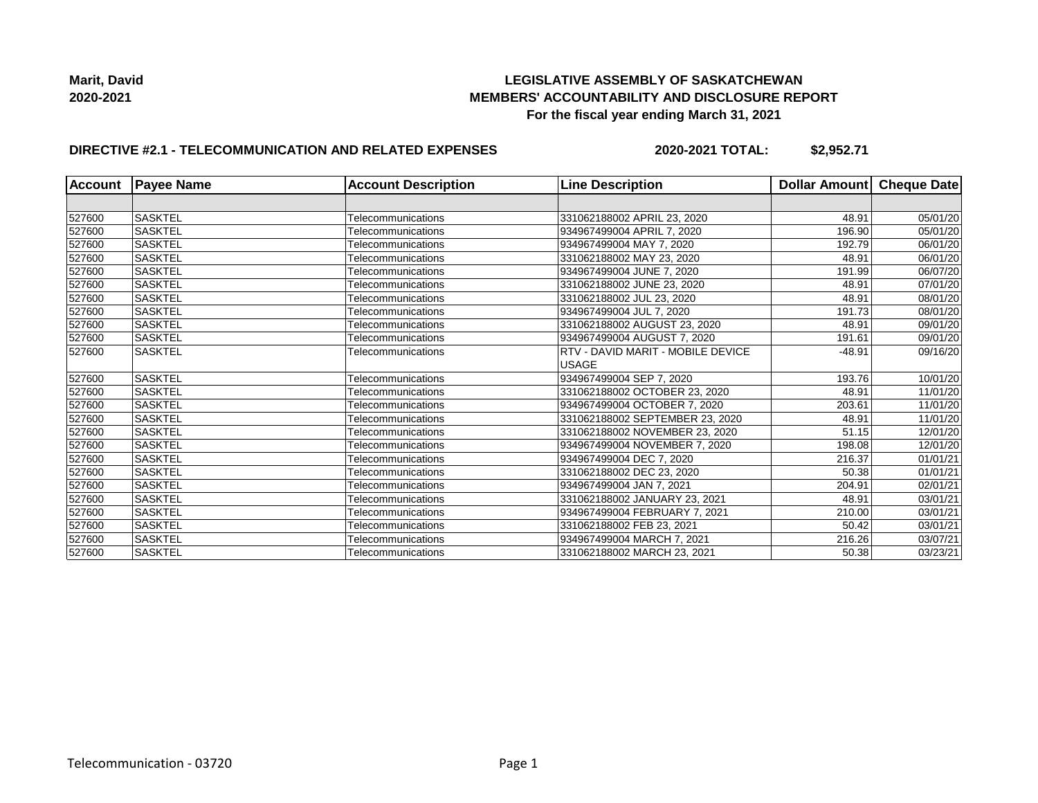

## **DIRECTIVE #2.1 - TELECOMMUNICATION AND RELATED EXPENSES**

**2020-2021 TOTAL: \$2,952.71**

| <b>Account</b> | <b>Payee Name</b> | <b>Account Description</b> | <b>Line Description</b>                  | Dollar Amount Cheque Date |          |
|----------------|-------------------|----------------------------|------------------------------------------|---------------------------|----------|
|                |                   |                            |                                          |                           |          |
| 527600         | <b>SASKTEL</b>    | Telecommunications         | 331062188002 APRIL 23, 2020              | 48.91                     | 05/01/20 |
| 527600         | <b>SASKTEL</b>    | Telecommunications         | 934967499004 APRIL 7, 2020               | 196.90                    | 05/01/20 |
| 527600         | <b>SASKTEL</b>    | Telecommunications         | 934967499004 MAY 7, 2020                 | 192.79                    | 06/01/20 |
| 527600         | <b>SASKTEL</b>    | Telecommunications         | 331062188002 MAY 23, 2020                | 48.91                     | 06/01/20 |
| 527600         | <b>SASKTEL</b>    | Telecommunications         | 934967499004 JUNE 7, 2020                | 191.99                    | 06/07/20 |
| 527600         | <b>SASKTEL</b>    | Telecommunications         | 331062188002 JUNE 23, 2020               | 48.91                     | 07/01/20 |
| 527600         | <b>SASKTEL</b>    | Telecommunications         | 331062188002 JUL 23, 2020                | 48.91                     | 08/01/20 |
| 527600         | <b>SASKTEL</b>    | Telecommunications         | 934967499004 JUL 7, 2020                 | 191.73                    | 08/01/20 |
| 527600         | <b>SASKTEL</b>    | Telecommunications         | 331062188002 AUGUST 23, 2020             | 48.91                     | 09/01/20 |
| 527600         | <b>SASKTEL</b>    | Telecommunications         | 934967499004 AUGUST 7, 2020              | 191.61                    | 09/01/20 |
| 527600         | <b>SASKTEL</b>    | Telecommunications         | <b>RTV - DAVID MARIT - MOBILE DEVICE</b> | $-48.91$                  | 09/16/20 |
|                |                   |                            | <b>USAGE</b>                             |                           |          |
| 527600         | <b>SASKTEL</b>    | Telecommunications         | 934967499004 SEP 7, 2020                 | 193.76                    | 10/01/20 |
| 527600         | <b>SASKTEL</b>    | Telecommunications         | 331062188002 OCTOBER 23, 2020            | 48.91                     | 11/01/20 |
| 527600         | <b>SASKTEL</b>    | Telecommunications         | 934967499004 OCTOBER 7, 2020             | 203.61                    | 11/01/20 |
| 527600         | <b>SASKTEL</b>    | Telecommunications         | 331062188002 SEPTEMBER 23, 2020          | 48.91                     | 11/01/20 |
| 527600         | <b>SASKTEL</b>    | Telecommunications         | 331062188002 NOVEMBER 23, 2020           | 51.15                     | 12/01/20 |
| 527600         | <b>SASKTEL</b>    | Telecommunications         | 934967499004 NOVEMBER 7, 2020            | 198.08                    | 12/01/20 |
| 527600         | <b>SASKTEL</b>    | Telecommunications         | 934967499004 DEC 7, 2020                 | 216.37                    | 01/01/21 |
| 527600         | <b>SASKTEL</b>    | Telecommunications         | 331062188002 DEC 23, 2020                | 50.38                     | 01/01/21 |
| 527600         | <b>SASKTEL</b>    | Telecommunications         | 934967499004 JAN 7, 2021                 | 204.91                    | 02/01/21 |
| 527600         | <b>SASKTEL</b>    | Telecommunications         | 331062188002 JANUARY 23, 2021            | 48.91                     | 03/01/21 |
| 527600         | <b>SASKTEL</b>    | Telecommunications         | 934967499004 FEBRUARY 7, 2021            | 210.00                    | 03/01/21 |
| 527600         | <b>SASKTEL</b>    | Telecommunications         | 331062188002 FEB 23, 2021                | 50.42                     | 03/01/21 |
| 527600         | <b>SASKTEL</b>    | Telecommunications         | 934967499004 MARCH 7, 2021               | 216.26                    | 03/07/21 |
| 527600         | <b>SASKTEL</b>    | Telecommunications         | 331062188002 MARCH 23, 2021              | 50.38                     | 03/23/21 |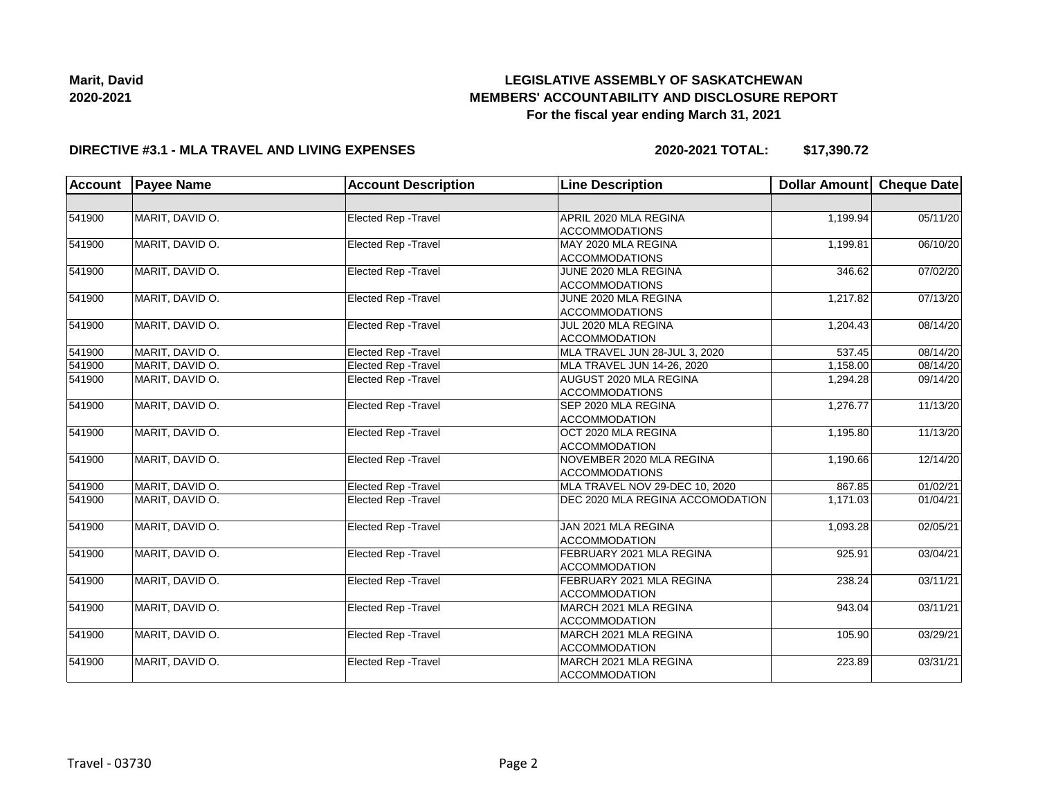

#### **DIRECTIVE #3.1 - MLA TRAVEL AND LIVING EXPENSES**

**2020-2021 TOTAL: \$17,390.72**

| Account | <b>Payee Name</b><br><b>Line Description</b><br><b>Account Description</b> |                             | Dollar Amount Cheque Date                         |          |          |
|---------|----------------------------------------------------------------------------|-----------------------------|---------------------------------------------------|----------|----------|
|         |                                                                            |                             |                                                   |          |          |
| 541900  | MARIT, DAVID O.                                                            | Elected Rep - Travel        | APRIL 2020 MLA REGINA<br><b>ACCOMMODATIONS</b>    | 1,199.94 | 05/11/20 |
| 541900  | MARIT, DAVID O.                                                            | Elected Rep - Travel        | MAY 2020 MLA REGINA<br><b>ACCOMMODATIONS</b>      | 1,199.81 | 06/10/20 |
| 541900  | MARIT, DAVID O.                                                            | Elected Rep - Travel        | JUNE 2020 MLA REGINA<br><b>ACCOMMODATIONS</b>     | 346.62   | 07/02/20 |
| 541900  | MARIT, DAVID O.                                                            | Elected Rep - Travel        | JUNE 2020 MLA REGINA<br><b>ACCOMMODATIONS</b>     | 1,217.82 | 07/13/20 |
| 541900  | MARIT, DAVID O.                                                            | Elected Rep - Travel        | JUL 2020 MLA REGINA<br><b>ACCOMMODATION</b>       | 1,204.43 | 08/14/20 |
| 541900  | MARIT. DAVID O.                                                            | Elected Rep - Travel        | MLA TRAVEL JUN 28-JUL 3, 2020                     | 537.45   | 08/14/20 |
| 541900  | MARIT, DAVID O.                                                            | Elected Rep - Travel        | MLA TRAVEL JUN 14-26, 2020                        | 1,158.00 | 08/14/20 |
| 541900  | MARIT, DAVID O.                                                            | <b>Elected Rep - Travel</b> | AUGUST 2020 MLA REGINA<br><b>ACCOMMODATIONS</b>   | 1,294.28 | 09/14/20 |
| 541900  | MARIT, DAVID O.                                                            | Elected Rep - Travel        | SEP 2020 MLA REGINA<br><b>ACCOMMODATION</b>       | 1,276.77 | 11/13/20 |
| 541900  | MARIT, DAVID O.                                                            | Elected Rep - Travel        | OCT 2020 MLA REGINA<br><b>ACCOMMODATION</b>       | 1,195.80 | 11/13/20 |
| 541900  | MARIT, DAVID O.                                                            | Elected Rep - Travel        | NOVEMBER 2020 MLA REGINA<br><b>ACCOMMODATIONS</b> | 1,190.66 | 12/14/20 |
| 541900  | MARIT, DAVID O.                                                            | Elected Rep - Travel        | MLA TRAVEL NOV 29-DEC 10, 2020                    | 867.85   | 01/02/21 |
| 541900  | MARIT. DAVID O.                                                            | Elected Rep - Travel        | DEC 2020 MLA REGINA ACCOMODATION                  | 1,171.03 | 01/04/21 |
| 541900  | MARIT, DAVID O.                                                            | Elected Rep - Travel        | JAN 2021 MLA REGINA<br><b>ACCOMMODATION</b>       | 1,093.28 | 02/05/21 |
| 541900  | MARIT, DAVID O.                                                            | Elected Rep - Travel        | FEBRUARY 2021 MLA REGINA<br><b>ACCOMMODATION</b>  | 925.91   | 03/04/21 |
| 541900  | MARIT, DAVID O.                                                            | Elected Rep - Travel        | FEBRUARY 2021 MLA REGINA<br><b>ACCOMMODATION</b>  | 238.24   | 03/11/21 |
| 541900  | MARIT, DAVID O.                                                            | Elected Rep - Travel        | MARCH 2021 MLA REGINA<br><b>ACCOMMODATION</b>     | 943.04   | 03/11/21 |
| 541900  | MARIT, DAVID O.                                                            | Elected Rep - Travel        | MARCH 2021 MLA REGINA<br><b>ACCOMMODATION</b>     | 105.90   | 03/29/21 |
| 541900  | MARIT, DAVID O.                                                            | Elected Rep - Travel        | MARCH 2021 MLA REGINA<br><b>ACCOMMODATION</b>     | 223.89   | 03/31/21 |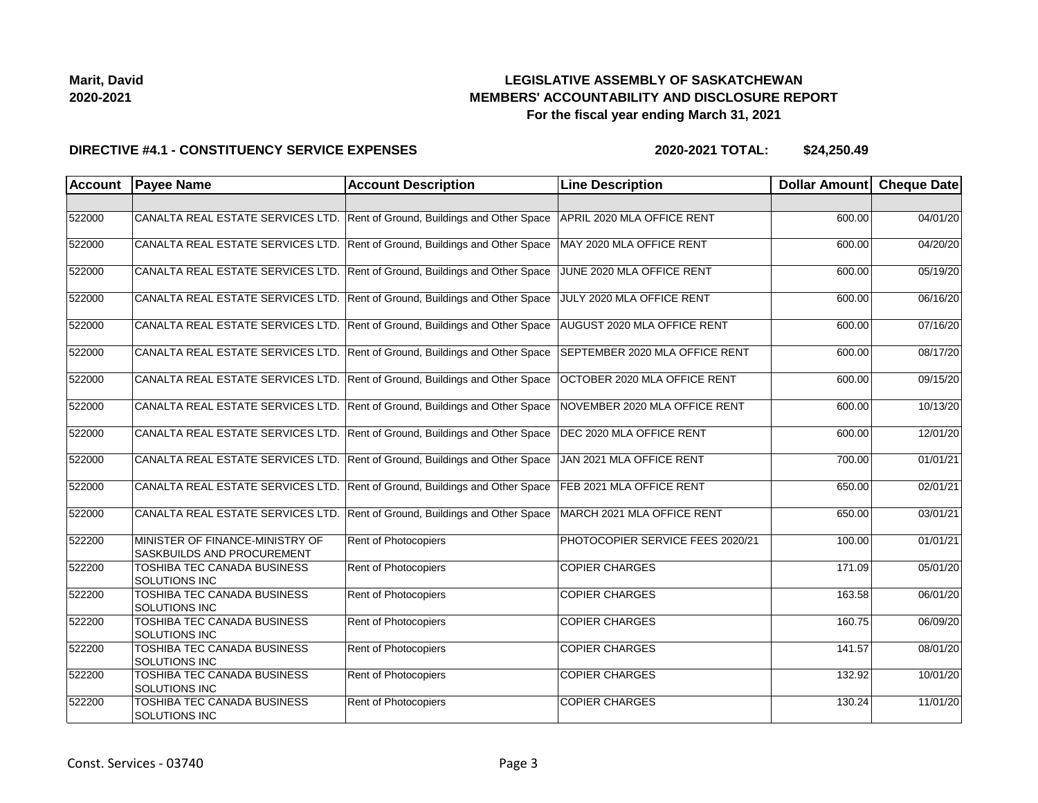| Marit, David |
|--------------|
| 2020-2021    |

#### **DIRECTIVE #4.1 - CONSTITUENCY SERVICE EXPENSES**

| <b>Account</b> | <b>Payee Name</b>                                             | <b>Account Description</b>                | <b>Line Description</b>          | Dollar Amount Cheque Date |          |
|----------------|---------------------------------------------------------------|-------------------------------------------|----------------------------------|---------------------------|----------|
|                |                                                               |                                           |                                  |                           |          |
| 522000         | CANALTA REAL ESTATE SERVICES LTD.                             | Rent of Ground, Buildings and Other Space | APRIL 2020 MLA OFFICE RENT       | 600.00                    | 04/01/20 |
| 522000         | CANALTA REAL ESTATE SERVICES LTD.                             | Rent of Ground, Buildings and Other Space | MAY 2020 MLA OFFICE RENT         | 600.00                    | 04/20/20 |
| 522000         | CANALTA REAL ESTATE SERVICES LTD.                             | Rent of Ground, Buildings and Other Space | JUNE 2020 MLA OFFICE RENT        | 600.00                    | 05/19/20 |
| 522000         | CANALTA REAL ESTATE SERVICES LTD.                             | Rent of Ground, Buildings and Other Space | JULY 2020 MLA OFFICE RENT        | 600.00                    | 06/16/20 |
| 522000         | CANALTA REAL ESTATE SERVICES LTD.                             | Rent of Ground, Buildings and Other Space | AUGUST 2020 MLA OFFICE RENT      | 600.00                    | 07/16/20 |
| 522000         | CANALTA REAL ESTATE SERVICES LTD.                             | Rent of Ground, Buildings and Other Space | SEPTEMBER 2020 MLA OFFICE RENT   | 600.00                    | 08/17/20 |
| 522000         | CANALTA REAL ESTATE SERVICES LTD.                             | Rent of Ground, Buildings and Other Space | OCTOBER 2020 MLA OFFICE RENT     | 600.00                    | 09/15/20 |
| 522000         | CANALTA REAL ESTATE SERVICES LTD.                             | Rent of Ground, Buildings and Other Space | NOVEMBER 2020 MLA OFFICE RENT    | 600.00                    | 10/13/20 |
| 522000         | CANALTA REAL ESTATE SERVICES LTD.                             | Rent of Ground, Buildings and Other Space | DEC 2020 MLA OFFICE RENT         | 600.00                    | 12/01/20 |
| 522000         | CANALTA REAL ESTATE SERVICES LTD.                             | Rent of Ground, Buildings and Other Space | JAN 2021 MLA OFFICE RENT         | 700.00                    | 01/01/21 |
| 522000         | CANALTA REAL ESTATE SERVICES LTD.                             | Rent of Ground, Buildings and Other Space | FEB 2021 MLA OFFICE RENT         | 650.00                    | 02/01/21 |
| 522000         | CANALTA REAL ESTATE SERVICES LTD.                             | Rent of Ground, Buildings and Other Space | MARCH 2021 MLA OFFICE RENT       | 650.00                    | 03/01/21 |
| 522200         | MINISTER OF FINANCE-MINISTRY OF<br>SASKBUILDS AND PROCUREMENT | Rent of Photocopiers                      | PHOTOCOPIER SERVICE FEES 2020/21 | 100.00                    | 01/01/21 |
| 522200         | TOSHIBA TEC CANADA BUSINESS<br>SOLUTIONS INC                  | Rent of Photocopiers                      | <b>COPIER CHARGES</b>            | 171.09                    | 05/01/20 |
| 522200         | TOSHIBA TEC CANADA BUSINESS<br>SOLUTIONS INC                  | Rent of Photocopiers                      | <b>COPIER CHARGES</b>            | 163.58                    | 06/01/20 |
| 522200         | <b>TOSHIBA TEC CANADA BUSINESS</b><br>SOLUTIONS INC           | <b>Rent of Photocopiers</b>               | <b>COPIER CHARGES</b>            | 160.75                    | 06/09/20 |
| 522200         | TOSHIBA TEC CANADA BUSINESS<br>SOLUTIONS INC                  | Rent of Photocopiers                      | <b>COPIER CHARGES</b>            | 141.57                    | 08/01/20 |
| 522200         | TOSHIBA TEC CANADA BUSINESS<br>SOLUTIONS INC                  | Rent of Photocopiers                      | <b>COPIER CHARGES</b>            | 132.92                    | 10/01/20 |
| 522200         | TOSHIBA TEC CANADA BUSINESS<br>SOLUTIONS INC                  | Rent of Photocopiers                      | <b>COPIER CHARGES</b>            | 130.24                    | 11/01/20 |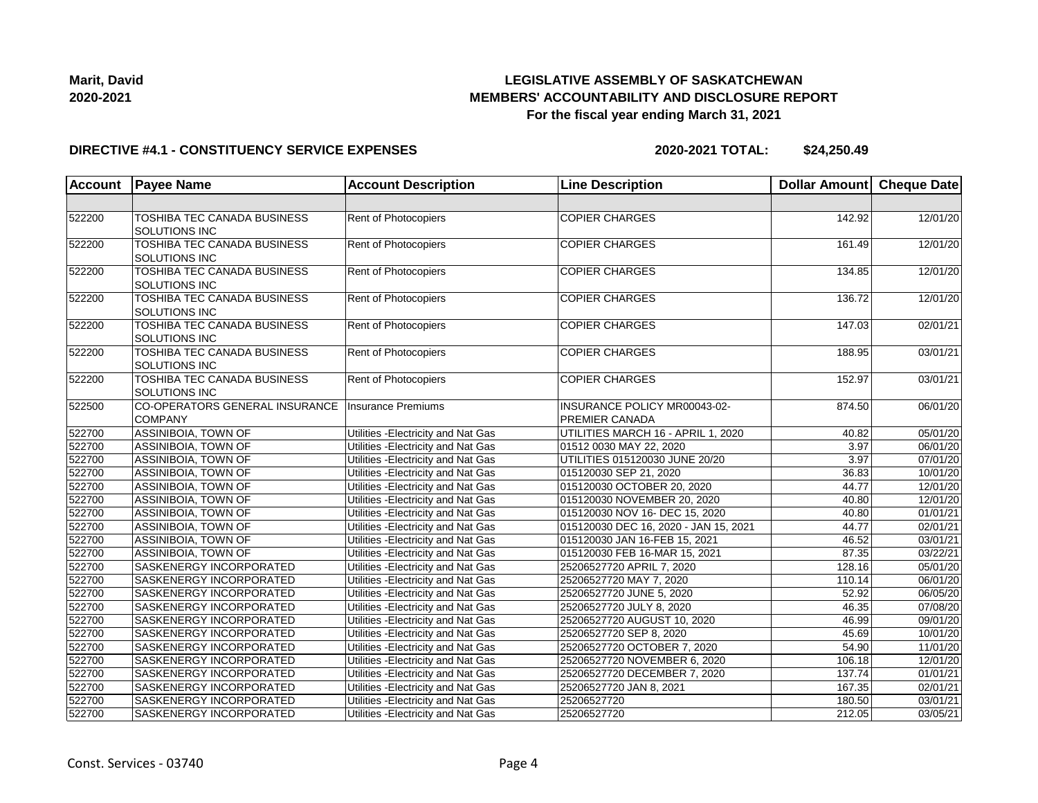

#### **DIRECTIVE #4.1 - CONSTITUENCY SERVICE EXPENSES**

| <b>Account</b> | <b>Payee Name</b>                                          | <b>Account Description</b>          | <b>Line Description</b>                               | Dollar Amount Cheque Date |          |
|----------------|------------------------------------------------------------|-------------------------------------|-------------------------------------------------------|---------------------------|----------|
|                |                                                            |                                     |                                                       |                           |          |
| 522200         | TOSHIBA TEC CANADA BUSINESS<br>SOLUTIONS INC               | Rent of Photocopiers                | <b>COPIER CHARGES</b>                                 | 142.92                    | 12/01/20 |
| 522200         | TOSHIBA TEC CANADA BUSINESS<br><b>SOLUTIONS INC</b>        | <b>Rent of Photocopiers</b>         | <b>COPIER CHARGES</b>                                 | 161.49                    | 12/01/20 |
| 522200         | TOSHIBA TEC CANADA BUSINESS<br><b>SOLUTIONS INC</b>        | Rent of Photocopiers                | <b>COPIER CHARGES</b>                                 | 134.85                    | 12/01/20 |
| 522200         | TOSHIBA TEC CANADA BUSINESS<br>SOLUTIONS INC               | Rent of Photocopiers                | <b>COPIER CHARGES</b>                                 | 136.72                    | 12/01/20 |
| 522200         | <b>TOSHIBA TEC CANADA BUSINESS</b><br><b>SOLUTIONS INC</b> | Rent of Photocopiers                | <b>COPIER CHARGES</b>                                 | 147.03                    | 02/01/21 |
| 522200         | TOSHIBA TEC CANADA BUSINESS<br>SOLUTIONS INC               | Rent of Photocopiers                | <b>COPIER CHARGES</b>                                 | 188.95                    | 03/01/21 |
| 522200         | TOSHIBA TEC CANADA BUSINESS<br>SOLUTIONS INC               | Rent of Photocopiers                | <b>COPIER CHARGES</b>                                 | 152.97                    | 03/01/21 |
| 522500         | CO-OPERATORS GENERAL INSURANCE<br><b>COMPANY</b>           | Insurance Premiums                  | INSURANCE POLICY MR00043-02-<br><b>PREMIER CANADA</b> | 874.50                    | 06/01/20 |
| 522700         | ASSINIBOIA, TOWN OF                                        | Utilities - Electricity and Nat Gas | UTILITIES MARCH 16 - APRIL 1, 2020                    | 40.82                     | 05/01/20 |
| 522700         | ASSINIBOIA, TOWN OF                                        | Utilities - Electricity and Nat Gas | 01512 0030 MAY 22, 2020                               | 3.97                      | 06/01/20 |
| 522700         | ASSINIBOIA, TOWN OF                                        | Utilities - Electricity and Nat Gas | UTILITIES 015120030 JUNE 20/20                        | 3.97                      | 07/01/20 |
| 522700         | ASSINIBOIA, TOWN OF                                        | Utilities - Electricity and Nat Gas | 015120030 SEP 21, 2020                                | 36.83                     | 10/01/20 |
| 522700         | ASSINIBOIA, TOWN OF                                        | Utilities - Electricity and Nat Gas | 015120030 OCTOBER 20, 2020                            | 44.77                     | 12/01/20 |
| 522700         | ASSINIBOIA, TOWN OF                                        | Utilities - Electricity and Nat Gas | 015120030 NOVEMBER 20, 2020                           | 40.80                     | 12/01/20 |
| 522700         | ASSINIBOIA, TOWN OF                                        | Utilities - Electricity and Nat Gas | 015120030 NOV 16- DEC 15, 2020                        | 40.80                     | 01/01/21 |
| 522700         | ASSINIBOIA, TOWN OF                                        | Utilities - Electricity and Nat Gas | 015120030 DEC 16, 2020 - JAN 15, 2021                 | 44.77                     | 02/01/21 |
| 522700         | ASSINIBOIA, TOWN OF                                        | Utilities - Electricity and Nat Gas | 015120030 JAN 16-FEB 15, 2021                         | 46.52                     | 03/01/21 |
| 522700         | ASSINIBOIA, TOWN OF                                        | Utilities - Electricity and Nat Gas | 015120030 FEB 16-MAR 15, 2021                         | 87.35                     | 03/22/21 |
| 522700         | SASKENERGY INCORPORATED                                    | Utilities - Electricity and Nat Gas | 25206527720 APRIL 7, 2020                             | 128.16                    | 05/01/20 |
| 522700         | SASKENERGY INCORPORATED                                    | Utilities - Electricity and Nat Gas | 25206527720 MAY 7, 2020                               | 110.14                    | 06/01/20 |
| 522700         | SASKENERGY INCORPORATED                                    | Utilities - Electricity and Nat Gas | 25206527720 JUNE 5, 2020                              | 52.92                     | 06/05/20 |
| 522700         | SASKENERGY INCORPORATED                                    | Utilities - Electricity and Nat Gas | 25206527720 JULY 8, 2020                              | 46.35                     | 07/08/20 |
| 522700         | SASKENERGY INCORPORATED                                    | Utilities - Electricity and Nat Gas | 25206527720 AUGUST 10, 2020                           | 46.99                     | 09/01/20 |
| 522700         | <b>SASKENERGY INCORPORATED</b>                             | Utilities - Electricity and Nat Gas | 25206527720 SEP 8, 2020                               | 45.69                     | 10/01/20 |
| 522700         | SASKENERGY INCORPORATED                                    | Utilities - Electricity and Nat Gas | 25206527720 OCTOBER 7, 2020                           | 54.90                     | 11/01/20 |
| 522700         | <b>SASKENERGY INCORPORATED</b>                             | Utilities - Electricity and Nat Gas | 25206527720 NOVEMBER 6, 2020                          | 106.18                    | 12/01/20 |
| 522700         | SASKENERGY INCORPORATED                                    | Utilities - Electricity and Nat Gas | 25206527720 DECEMBER 7, 2020                          | 137.74                    | 01/01/21 |
| 522700         | SASKENERGY INCORPORATED                                    | Utilities - Electricity and Nat Gas | 25206527720 JAN 8, 2021                               | 167.35                    | 02/01/21 |
| 522700         | SASKENERGY INCORPORATED                                    | Utilities - Electricity and Nat Gas | 25206527720                                           | 180.50                    | 03/01/21 |
| 522700         | SASKENERGY INCORPORATED                                    | Utilities - Electricity and Nat Gas | 25206527720                                           | 212.05                    | 03/05/21 |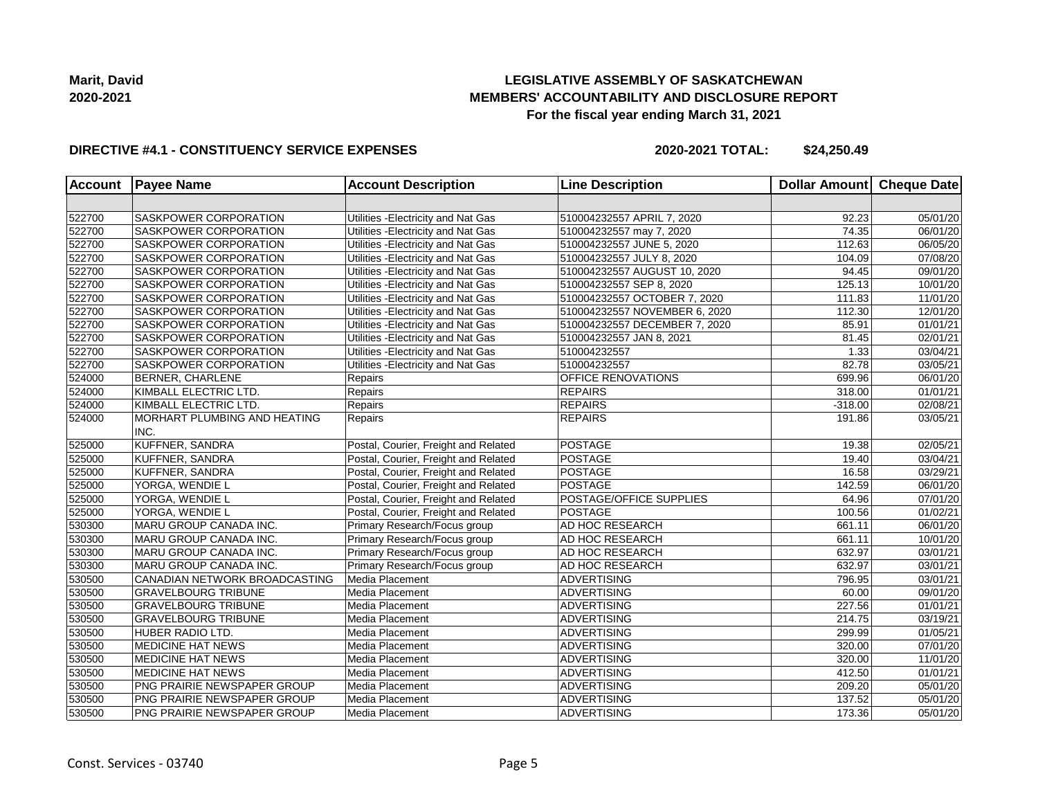

#### **DIRECTIVE #4.1 - CONSTITUENCY SERVICE EXPENSES**

| <b>Account</b> | <b>Payee Name</b>             | <b>Account Description</b>           | <b>Line Description</b>       | Dollar Amount Cheque Date |                       |
|----------------|-------------------------------|--------------------------------------|-------------------------------|---------------------------|-----------------------|
|                |                               |                                      |                               |                           |                       |
| 522700         | <b>SASKPOWER CORPORATION</b>  | Utilities - Electricity and Nat Gas  | 510004232557 APRIL 7, 2020    | 92.23                     | 05/01/20              |
| 522700         | <b>SASKPOWER CORPORATION</b>  | Utilities - Electricity and Nat Gas  | 510004232557 may 7, 2020      | 74.35                     | 06/01/20              |
| 522700         | <b>SASKPOWER CORPORATION</b>  | Utilities - Electricity and Nat Gas  | 510004232557 JUNE 5, 2020     | 112.63                    | 06/05/20              |
| 522700         | <b>SASKPOWER CORPORATION</b>  | Utilities - Electricity and Nat Gas  | 510004232557 JULY 8, 2020     | 104.09                    | 07/08/20              |
| 522700         | <b>SASKPOWER CORPORATION</b>  | Utilities - Electricity and Nat Gas  | 510004232557 AUGUST 10, 2020  | 94.45                     | 09/01/20              |
| 522700         | <b>SASKPOWER CORPORATION</b>  | Utilities - Electricity and Nat Gas  | 510004232557 SEP 8, 2020      | 125.13                    | 10/01/20              |
| 522700         | <b>SASKPOWER CORPORATION</b>  | Utilities - Electricity and Nat Gas  | 510004232557 OCTOBER 7, 2020  | 111.83                    | 11/01/20              |
| 522700         | <b>SASKPOWER CORPORATION</b>  | Utilities - Electricity and Nat Gas  | 510004232557 NOVEMBER 6, 2020 | 112.30                    | 12/01/20              |
| 522700         | <b>SASKPOWER CORPORATION</b>  | Utilities - Electricity and Nat Gas  | 510004232557 DECEMBER 7, 2020 | 85.91                     | 01/01/21              |
| 522700         | <b>SASKPOWER CORPORATION</b>  | Utilities - Electricity and Nat Gas  | 510004232557 JAN 8, 2021      | 81.45                     | 02/01/21              |
| 522700         | SASKPOWER CORPORATION         | Utilities - Electricity and Nat Gas  | 510004232557                  | 1.33                      | 03/04/21              |
| 522700         | SASKPOWER CORPORATION         | Utilities - Electricity and Nat Gas  | 510004232557                  | 82.78                     | 03/05/21              |
| 524000         | <b>BERNER, CHARLENE</b>       | Repairs                              | OFFICE RENOVATIONS            | 699.96                    | 06/01/20              |
| 524000         | KIMBALL ELECTRIC LTD.         | Repairs                              | <b>REPAIRS</b>                | 318.00                    | $\overline{01/0}1/21$ |
| 524000         | KIMBALL ELECTRIC LTD.         | Repairs                              | <b>REPAIRS</b>                | $-318.00$                 | $\overline{02/08/21}$ |
| 524000         | MORHART PLUMBING AND HEATING  | Repairs                              | <b>REPAIRS</b>                | 191.86                    | 03/05/21              |
|                | INC.                          |                                      |                               |                           |                       |
| 525000         | KUFFNER, SANDRA               | Postal, Courier, Freight and Related | <b>POSTAGE</b>                | 19.38                     | 02/05/21              |
| 525000         | <b>KUFFNER, SANDRA</b>        | Postal, Courier, Freight and Related | <b>POSTAGE</b>                | 19.40                     | 03/04/21              |
| 525000         | KUFFNER, SANDRA               | Postal, Courier, Freight and Related | <b>POSTAGE</b>                | 16.58                     | 03/29/21              |
| 525000         | YORGA, WENDIE L               | Postal, Courier, Freight and Related | <b>POSTAGE</b>                | 142.59                    | 06/01/20              |
| 525000         | YORGA, WENDIE L               | Postal, Courier, Freight and Related | POSTAGE/OFFICE SUPPLIES       | 64.96                     | 07/01/20              |
| 525000         | YORGA, WENDIE L               | Postal, Courier, Freight and Related | <b>POSTAGE</b>                | 100.56                    | 01/02/21              |
| 530300         | MARU GROUP CANADA INC.        | Primary Research/Focus group         | AD HOC RESEARCH               | 661.11                    | 06/01/20              |
| 530300         | MARU GROUP CANADA INC.        | Primary Research/Focus group         | AD HOC RESEARCH               | 661.11                    | 10/01/20              |
| 530300         | MARU GROUP CANADA INC.        | Primary Research/Focus group         | AD HOC RESEARCH               | 632.97                    | 03/01/21              |
| 530300         | MARU GROUP CANADA INC.        | Primary Research/Focus group         | AD HOC RESEARCH               | 632.97                    | 03/01/21              |
| 530500         | CANADIAN NETWORK BROADCASTING | Media Placement                      | <b>ADVERTISING</b>            | 796.95                    | 03/01/21              |
| 530500         | <b>GRAVELBOURG TRIBUNE</b>    | Media Placement                      | <b>ADVERTISING</b>            | 60.00                     | 09/01/20              |
| 530500         | <b>GRAVELBOURG TRIBUNE</b>    | Media Placement                      | <b>ADVERTISING</b>            | 227.56                    | 01/01/21              |
| 530500         | <b>GRAVELBOURG TRIBUNE</b>    | Media Placement                      | <b>ADVERTISING</b>            | 214.75                    | 03/19/21              |
| 530500         | <b>HUBER RADIO LTD.</b>       | Media Placement                      | <b>ADVERTISING</b>            | 299.99                    | 01/05/21              |
| 530500         | <b>MEDICINE HAT NEWS</b>      | Media Placement                      | <b>ADVERTISING</b>            | 320.00                    | 07/01/20              |
| 530500         | <b>MEDICINE HAT NEWS</b>      | Media Placement                      | <b>ADVERTISING</b>            | 320.00                    | 11/01/20              |
| 530500         | <b>MEDICINE HAT NEWS</b>      | Media Placement                      | <b>ADVERTISING</b>            | 412.50                    | 01/01/21              |
|                |                               |                                      |                               | 209.20                    |                       |
| 530500         | PNG PRAIRIE NEWSPAPER GROUP   | Media Placement                      | <b>ADVERTISING</b>            |                           | 05/01/20              |
| 530500         | PNG PRAIRIE NEWSPAPER GROUP   | Media Placement                      | <b>ADVERTISING</b>            | 137.52                    | 05/01/20              |
| 530500         | PNG PRAIRIE NEWSPAPER GROUP   | Media Placement                      | ADVERTISING                   | 173.36                    | 05/01/20              |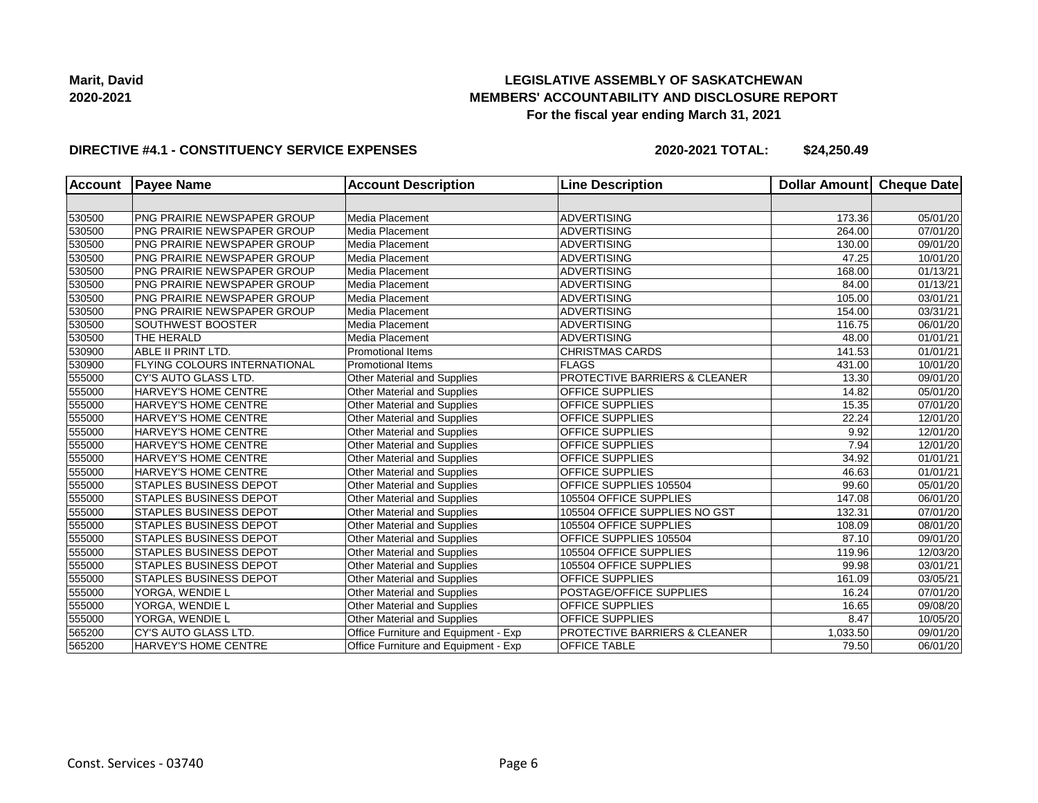**Marit, David 2020-2021**

## **LEGISLATIVE ASSEMBLY OF SASKATCHEWAN MEMBERS' ACCOUNTABILITY AND DISCLOSURE REPORT For the fiscal year ending March 31, 2021**

#### **DIRECTIVE #4.1 - CONSTITUENCY SERVICE EXPENSES**

| <b>Account</b> | <b>Payee Name</b>                  | <b>Account Description</b>           | <b>Line Description</b>       | Dollar Amount | Cheque Date           |
|----------------|------------------------------------|--------------------------------------|-------------------------------|---------------|-----------------------|
|                |                                    |                                      |                               |               |                       |
| 530500         | <b>PNG PRAIRIE NEWSPAPER GROUP</b> | Media Placement                      | <b>ADVERTISING</b>            | 173.36        | 05/01/20              |
| 530500         | <b>PNG PRAIRIE NEWSPAPER GROUP</b> | Media Placement                      | <b>ADVERTISING</b>            | 264.00        | 07/01/20              |
| 530500         | PNG PRAIRIE NEWSPAPER GROUP        | Media Placement                      | <b>ADVERTISING</b>            | 130.00        | 09/01/20              |
| 530500         | <b>PNG PRAIRIE NEWSPAPER GROUP</b> | Media Placement                      | <b>ADVERTISING</b>            | 47.25         | 10/01/20              |
| 530500         | PNG PRAIRIE NEWSPAPER GROUP        | Media Placement                      | <b>ADVERTISING</b>            | 168.00        | $\overline{01/13/21}$ |
| 530500         | PNG PRAIRIE NEWSPAPER GROUP        | Media Placement                      | <b>ADVERTISING</b>            | 84.00         | 01/13/21              |
| 530500         | PNG PRAIRIE NEWSPAPER GROUP        | Media Placement                      | <b>ADVERTISING</b>            | 105.00        | 03/01/21              |
| 530500         | PNG PRAIRIE NEWSPAPER GROUP        | Media Placement                      | <b>ADVERTISING</b>            | 154.00        | 03/31/21              |
| 530500         | <b>SOUTHWEST BOOSTER</b>           | Media Placement                      | ADVERTISING                   | 116.75        | 06/01/20              |
| 530500         | THE HERALD                         | Media Placement                      | ADVERTISING                   | 48.00         | 01/01/21              |
| 530900         | ABLE II PRINT LTD.                 | <b>Promotional Items</b>             | <b>CHRISTMAS CARDS</b>        | 141.53        | 01/01/21              |
| 530900         | FLYING COLOURS INTERNATIONAL       | <b>Promotional Items</b>             | <b>FLAGS</b>                  | 431.00        | 10/01/20              |
| 555000         | CY'S AUTO GLASS LTD.               | Other Material and Supplies          | PROTECTIVE BARRIERS & CLEANER | 13.30         | $\overline{09}/01/20$ |
| 555000         | HARVEY'S HOME CENTRE               | <b>Other Material and Supplies</b>   | OFFICE SUPPLIES               | 14.82         | 05/01/20              |
| 555000         | HARVEY'S HOME CENTRE               | <b>Other Material and Supplies</b>   | OFFICE SUPPLIES               | 15.35         | 07/01/20              |
| 555000         | HARVEY'S HOME CENTRE               | Other Material and Supplies          | OFFICE SUPPLIES               | 22.24         | 12/01/20              |
| 555000         | HARVEY'S HOME CENTRE               | Other Material and Supplies          | OFFICE SUPPLIES               | 9.92          | 12/01/20              |
| 555000         | HARVEY'S HOME CENTRE               | Other Material and Supplies          | OFFICE SUPPLIES               | 7.94          | 12/01/20              |
| 555000         | HARVEY'S HOME CENTRE               | Other Material and Supplies          | OFFICE SUPPLIES               | 34.92         | 01/01/21              |
| 555000         | <b>HARVEY'S HOME CENTRE</b>        | Other Material and Supplies          | <b>OFFICE SUPPLIES</b>        | 46.63         | 01/01/21              |
| 555000         | <b>STAPLES BUSINESS DEPOT</b>      | Other Material and Supplies          | OFFICE SUPPLIES 105504        | 99.60         | 05/01/20              |
| 555000         | <b>STAPLES BUSINESS DEPOT</b>      | <b>Other Material and Supplies</b>   | 105504 OFFICE SUPPLIES        | 147.08        | 06/01/20              |
| 555000         | <b>STAPLES BUSINESS DEPOT</b>      | Other Material and Supplies          | 105504 OFFICE SUPPLIES NO GST | 132.31        | 07/01/20              |
| 555000         | <b>STAPLES BUSINESS DEPOT</b>      | Other Material and Supplies          | 105504 OFFICE SUPPLIES        | 108.09        | 08/01/20              |
| 555000         | <b>STAPLES BUSINESS DEPOT</b>      | Other Material and Supplies          | OFFICE SUPPLIES 105504        | 87.10         | 09/01/20              |
| 555000         | <b>STAPLES BUSINESS DEPOT</b>      | <b>Other Material and Supplies</b>   | 105504 OFFICE SUPPLIES        | 119.96        | 12/03/20              |
| 555000         | <b>STAPLES BUSINESS DEPOT</b>      | <b>Other Material and Supplies</b>   | 105504 OFFICE SUPPLIES        | 99.98         | 03/01/21              |
| 555000         | <b>STAPLES BUSINESS DEPOT</b>      | Other Material and Supplies          | <b>OFFICE SUPPLIES</b>        | 161.09        | 03/05/21              |
| 555000         | YORGA, WENDIE L                    | Other Material and Supplies          | POSTAGE/OFFICE SUPPLIES       | 16.24         | $\overline{07}/01/20$ |
| 555000         | YORGA, WENDIE L                    | Other Material and Supplies          | <b>OFFICE SUPPLIES</b>        | 16.65         | 09/08/20              |
| 555000         | YORGA, WENDIE L                    | Other Material and Supplies          | <b>OFFICE SUPPLIES</b>        | 8.47          | 10/05/20              |
| 565200         | CY'S AUTO GLASS LTD.               | Office Furniture and Equipment - Exp | PROTECTIVE BARRIERS & CLEANER | 1,033.50      | $\overline{09}/01/20$ |
| 565200         | HARVEY'S HOME CENTRE               | Office Furniture and Equipment - Exp | <b>OFFICE TABLE</b>           | 79.50         | 06/01/20              |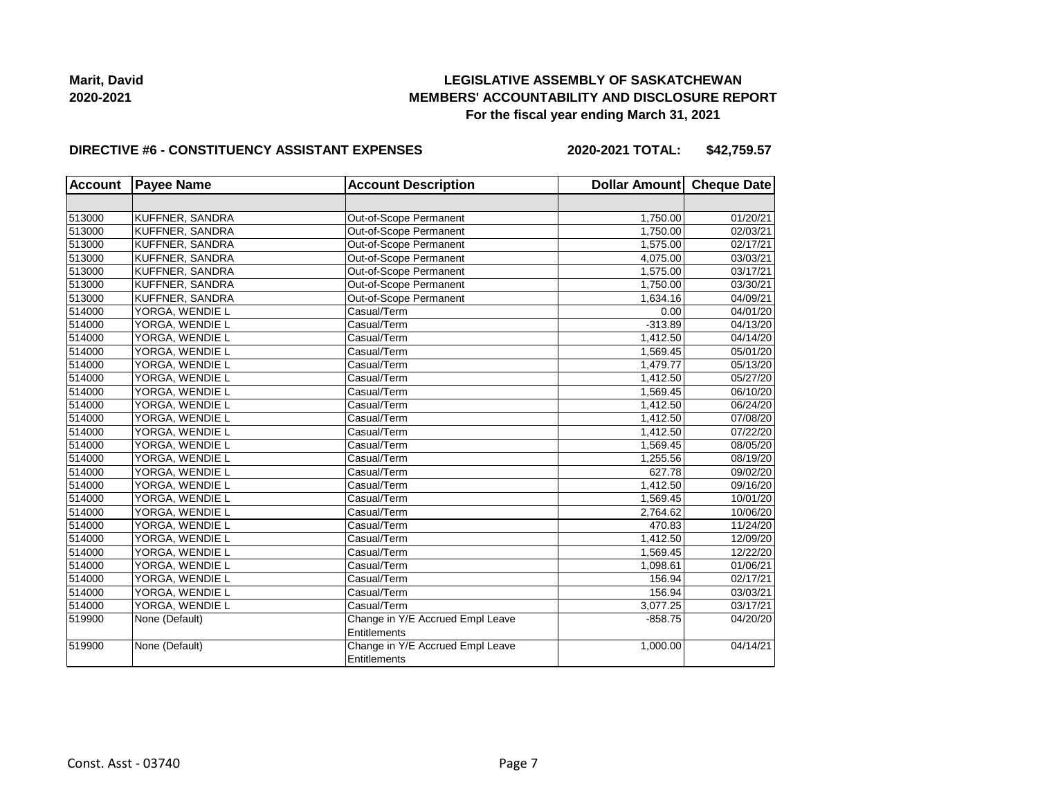**Marit, David 2020-2021**

## **LEGISLATIVE ASSEMBLY OF SASKATCHEWAN MEMBERS' ACCOUNTABILITY AND DISCLOSURE REPORT For the fiscal year ending March 31, 2021**

#### **DIRECTIVE #6 - CONSTITUENCY ASSISTANT EXPENSES**

**2020-2021 TOTAL: \$42,759.57**

| <b>Account</b> | <b>Payee Name</b><br><b>Account Description</b> |                                                         | Dollar Amount Cheque Date |                       |
|----------------|-------------------------------------------------|---------------------------------------------------------|---------------------------|-----------------------|
|                |                                                 |                                                         |                           |                       |
| 513000         | KUFFNER, SANDRA                                 | Out-of-Scope Permanent                                  | 1,750.00                  | 01/20/21              |
| 513000         | KUFFNER, SANDRA                                 | Out-of-Scope Permanent                                  | 1.750.00                  | 02/03/21              |
| 513000         | KUFFNER, SANDRA                                 | Out-of-Scope Permanent                                  | 1,575.00                  | $\overline{02}/17/21$ |
| 513000         | KUFFNER, SANDRA                                 | Out-of-Scope Permanent                                  | 4,075.00                  | 03/03/21              |
| 513000         | KUFFNER, SANDRA                                 | Out-of-Scope Permanent                                  | 1,575.00                  | 03/17/21              |
| 513000         | KUFFNER, SANDRA                                 | Out-of-Scope Permanent                                  | 1,750.00                  | 03/30/21              |
| 513000         | KUFFNER, SANDRA                                 | Out-of-Scope Permanent                                  | 1,634.16                  | 04/09/21              |
| 514000         | YORGA, WENDIE L                                 | Casual/Term                                             | 0.00                      | 04/01/20              |
| 514000         | YORGA, WENDIE L                                 | Casual/Term                                             | $-313.89$                 | 04/13/20              |
| 514000         | YORGA, WENDIE L                                 | Casual/Term                                             | 1,412.50                  | 04/14/20              |
| 514000         | YORGA, WENDIE L                                 | Casual/Term                                             | 1,569.45                  | 05/01/20              |
| 514000         | YORGA, WENDIE L                                 | Casual/Term                                             | 1,479.77                  | 05/13/20              |
| 514000         | YORGA, WENDIE L                                 | Casual/Term                                             | 1,412.50                  | 05/27/20              |
| 514000         | YORGA, WENDIE L                                 | Casual/Term                                             | 1,569.45                  | 06/10/20              |
| 514000         | YORGA, WENDIE L                                 | Casual/Term                                             | 1,412.50                  | 06/24/20              |
| 514000         | YORGA, WENDIE L                                 | Casual/Term                                             | 1,412.50                  | 07/08/20              |
| 514000         | YORGA, WENDIE L                                 | Casual/Term                                             | 1,412.50                  | 07/22/20              |
| 514000         | YORGA, WENDIE L                                 | Casual/Term                                             | 1,569.45                  | 08/05/20              |
| 514000         | YORGA, WENDIE L                                 | Casual/Term                                             | 1,255.56                  | 08/19/20              |
| 514000         | YORGA, WENDIE L                                 | Casual/Term                                             | 627.78                    | 09/02/20              |
| 514000         | YORGA, WENDIE L                                 | Casual/Term                                             | 1,412.50                  | 09/16/20              |
| 514000         | YORGA, WENDIE L                                 | Casual/Term                                             | 1,569.45                  | 10/01/20              |
| 514000         | YORGA, WENDIE L                                 | Casual/Term                                             | 2,764.62                  | 10/06/20              |
| 514000         | YORGA, WENDIE L                                 | Casual/Term                                             | 470.83                    | 11/24/20              |
| 514000         | YORGA, WENDIE L                                 | Casual/Term                                             | 1.412.50                  | 12/09/20              |
| 514000         | YORGA, WENDIE L                                 | Casual/Term                                             | 1,569.45                  | 12/22/20              |
| 514000         | YORGA, WENDIE L                                 | Casual/Term                                             | 1,098.61                  | 01/06/21              |
| 514000         | YORGA, WENDIE L                                 | Casual/Term                                             | 156.94                    | 02/17/21              |
| 514000         | YORGA, WENDIE L                                 | Casual/Term                                             | 156.94                    | 03/03/21              |
| 514000         | YORGA, WENDIE L                                 | Casual/Term                                             | 3.077.25                  | 03/17/21              |
| 519900         | None (Default)                                  | Change in Y/E Accrued Empl Leave<br><b>Entitlements</b> | $-858.75$                 | 04/20/20              |
| 519900         | None (Default)                                  | Change in Y/E Accrued Empl Leave<br>Entitlements        | 1,000.00                  | 04/14/21              |